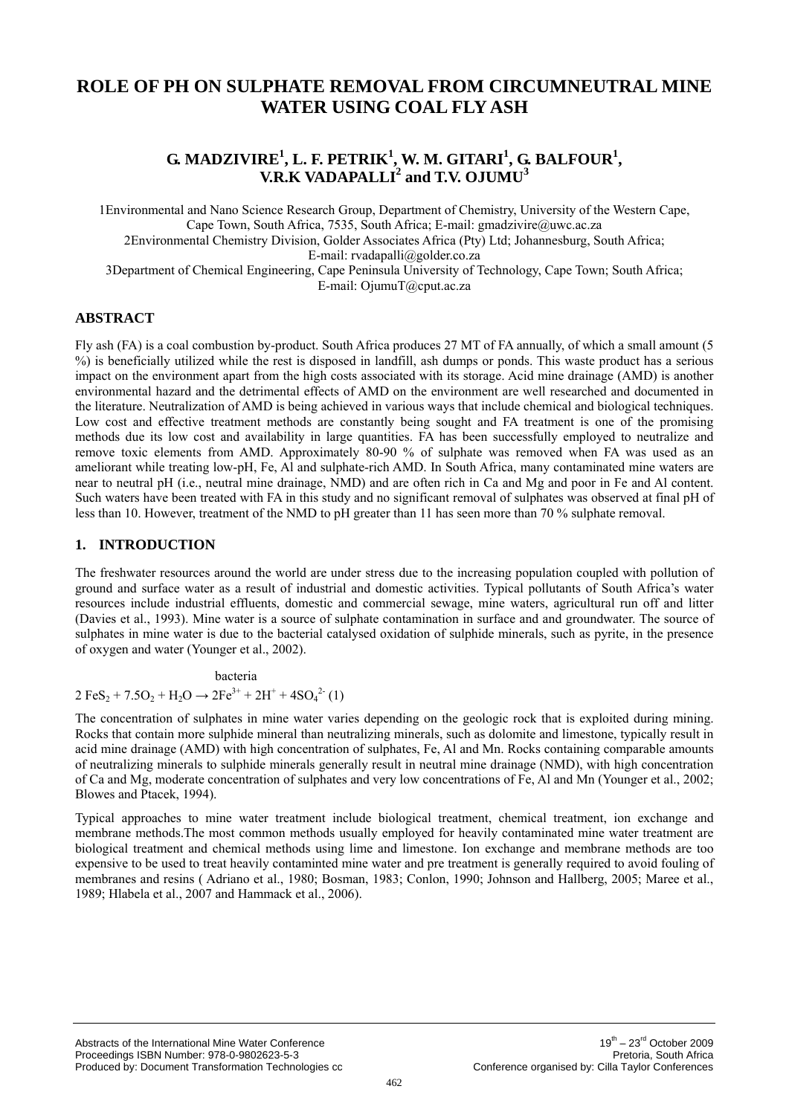# **ROLE OF PH ON SULPHATE REMOVAL FROM CIRCUMNEUTRAL MINE WATER USING COAL FLY ASH**

# **G. MADZIVIRE<sup>1</sup>, L. F. PETRIK<sup>1</sup>, W. M. GITARI<sup>1</sup>, G. BALFOUR<sup>1</sup>, V.R.K VADAPALLI<sup>2</sup> and T.V. OJUMU3**

1Environmental and Nano Science Research Group, Department of Chemistry, University of the Western Cape, Cape Town, South Africa, 7535, South Africa; E-mail: [gmadzivire@uwc.ac.za](mailto:gmadzivire@uwc.ac.za)  2Environmental Chemistry Division, Golder Associates Africa (Pty) Ltd; Johannesburg, South Africa; E-mail: [rvadapalli@golder.co.za](mailto:rvadapalli@golder.co.za)  3Department of Chemical Engineering, Cape Peninsula University of Technology, Cape Town; South Africa; E-mail: [OjumuT@cput.ac.za](mailto:OjumuT@cput.ac.za) 

# **ABSTRACT**

Fly ash (FA) is a coal combustion by-product. South Africa produces 27 MT of FA annually, of which a small amount (5 %) is beneficially utilized while the rest is disposed in landfill, ash dumps or ponds. This waste product has a serious impact on the environment apart from the high costs associated with its storage. Acid mine drainage (AMD) is another environmental hazard and the detrimental effects of AMD on the environment are well researched and documented in the literature. Neutralization of AMD is being achieved in various ways that include chemical and biological techniques. Low cost and effective treatment methods are constantly being sought and FA treatment is one of the promising methods due its low cost and availability in large quantities. FA has been successfully employed to neutralize and remove toxic elements from AMD. Approximately 80-90 % of sulphate was removed when FA was used as an ameliorant while treating low-pH, Fe, Al and sulphate-rich AMD. In South Africa, many contaminated mine waters are near to neutral pH (i.e., neutral mine drainage, NMD) and are often rich in Ca and Mg and poor in Fe and Al content. Such waters have been treated with FA in this study and no significant removal of sulphates was observed at final pH of less than 10. However, treatment of the NMD to pH greater than 11 has seen more than 70 % sulphate removal.

## **1. INTRODUCTION**

The freshwater resources around the world are under stress due to the increasing population coupled with pollution of ground and surface water as a result of industrial and domestic activities. Typical pollutants of South Africa's water resources include industrial effluents, domestic and commercial sewage, mine waters, agricultural run off and litter (Davies et al., 1993). Mine water is a source of sulphate contamination in surface and and groundwater. The source of sulphates in mine water is due to the bacterial catalysed oxidation of sulphide minerals, such as pyrite, in the presence of oxygen and water (Younger et al., 2002).

bacteria  $2 \text{FeS}_2 + 7.5 \text{O}_2 + \text{H}_2\text{O} \rightarrow 2 \text{Fe}^{3+} + 2\text{H}^+ + 4\text{SO}_4{}^{2-} (1)$ 

The concentration of sulphates in mine water varies depending on the geologic rock that is exploited during mining. Rocks that contain more sulphide mineral than neutralizing minerals, such as dolomite and limestone, typically result in acid mine drainage (AMD) with high concentration of sulphates, Fe, Al and Mn. Rocks containing comparable amounts of neutralizing minerals to sulphide minerals generally result in neutral mine drainage (NMD), with high concentration of Ca and Mg, moderate concentration of sulphates and very low concentrations of Fe, Al and Mn (Younger et al., 2002; Blowes and Ptacek, 1994).

Typical approaches to mine water treatment include biological treatment, chemical treatment, ion exchange and membrane methods.The most common methods usually employed for heavily contaminated mine water treatment are biological treatment and chemical methods using lime and limestone. Ion exchange and membrane methods are too expensive to be used to treat heavily contaminted mine water and pre treatment is generally required to avoid fouling of membranes and resins ( Adriano et al., 1980; Bosman, 1983; Conlon, 1990; Johnson and Hallberg, 2005; Maree et al., 1989; Hlabela et al., 2007 and Hammack et al., 2006).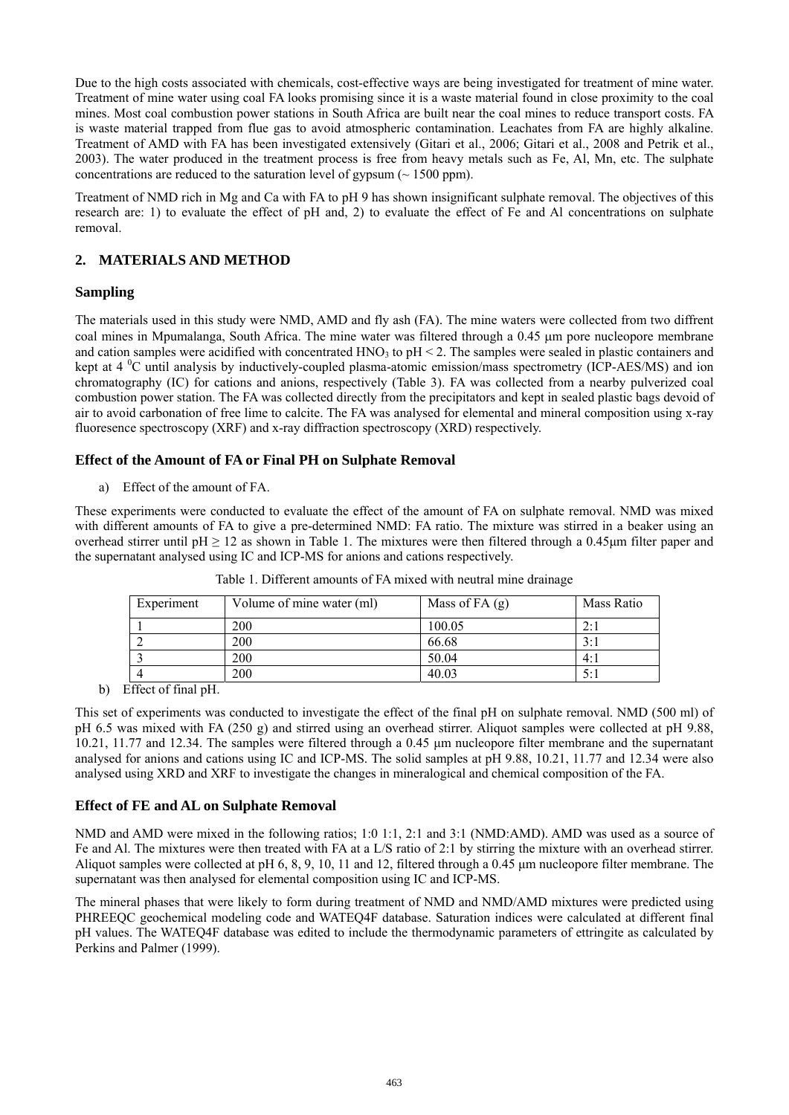Due to the high costs associated with chemicals, cost-effective ways are being investigated for treatment of mine water. Treatment of mine water using coal FA looks promising since it is a waste material found in close proximity to the coal mines. Most coal combustion power stations in South Africa are built near the coal mines to reduce transport costs. FA is waste material trapped from flue gas to avoid atmospheric contamination. Leachates from FA are highly alkaline. Treatment of AMD with FA has been investigated extensively (Gitari et al., 2006; Gitari et al., 2008 and Petrik et al., 2003). The water produced in the treatment process is free from heavy metals such as Fe, Al, Mn, etc. The sulphate concentrations are reduced to the saturation level of gypsum  $($   $\sim$  1500 ppm).

Treatment of NMD rich in Mg and Ca with FA to pH 9 has shown insignificant sulphate removal. The objectives of this research are: 1) to evaluate the effect of pH and, 2) to evaluate the effect of Fe and Al concentrations on sulphate removal.

# **2. MATERIALS AND METHOD**

# **Sampling**

The materials used in this study were NMD, AMD and fly ash (FA). The mine waters were collected from two diffrent coal mines in Mpumalanga, South Africa. The mine water was filtered through a 0.45 μm pore nucleopore membrane and cation samples were acidified with concentrated  $HNO<sub>3</sub>$  to  $pH < 2$ . The samples were sealed in plastic containers and kept at  $4 \,^0C$  until analysis by inductively-coupled plasma-atomic emission/mass spectrometry (ICP-AES/MS) and ion chromatography (IC) for cations and anions, respectively (Table 3). FA was collected from a nearby pulverized coal combustion power station. The FA was collected directly from the precipitators and kept in sealed plastic bags devoid of air to avoid carbonation of free lime to calcite. The FA was analysed for elemental and mineral composition using x-ray fluoresence spectroscopy (XRF) and x-ray diffraction spectroscopy (XRD) respectively.

## **Effect of the Amount of FA or Final PH on Sulphate Removal**

a) Effect of the amount of FA.

These experiments were conducted to evaluate the effect of the amount of FA on sulphate removal. NMD was mixed with different amounts of FA to give a pre-determined NMD: FA ratio. The mixture was stirred in a beaker using an overhead stirrer until pH  $\geq$  12 as shown in Table 1. The mixtures were then filtered through a 0.45µm filter paper and the supernatant analysed using IC and ICP-MS for anions and cations respectively.

| Experiment | Volume of mine water (ml) | Mass of FA $(g)$ | Mass Ratio  |
|------------|---------------------------|------------------|-------------|
|            | 200                       | 100.05           | $2 \cdot 1$ |
|            | 200                       | 66.68            | 3:1         |
|            | 200                       | 50.04            | 4:1         |
| 4          | 200                       | 40.03            | 5:1         |

Table 1. Different amounts of FA mixed with neutral mine drainage

b) Effect of final pH.

This set of experiments was conducted to investigate the effect of the final pH on sulphate removal. NMD (500 ml) of pH 6.5 was mixed with FA (250 g) and stirred using an overhead stirrer. Aliquot samples were collected at pH 9.88, 10.21, 11.77 and 12.34. The samples were filtered through a 0.45 μm nucleopore filter membrane and the supernatant analysed for anions and cations using IC and ICP-MS. The solid samples at pH 9.88, 10.21, 11.77 and 12.34 were also analysed using XRD and XRF to investigate the changes in mineralogical and chemical composition of the FA.

## **Effect of FE and AL on Sulphate Removal**

NMD and AMD were mixed in the following ratios; 1:0 1:1, 2:1 and 3:1 (NMD:AMD). AMD was used as a source of Fe and Al. The mixtures were then treated with FA at a L/S ratio of 2:1 by stirring the mixture with an overhead stirrer. Aliquot samples were collected at pH 6, 8, 9, 10, 11 and 12, filtered through a 0.45 μm nucleopore filter membrane. The supernatant was then analysed for elemental composition using IC and ICP-MS.

The mineral phases that were likely to form during treatment of NMD and NMD/AMD mixtures were predicted using PHREEQC geochemical modeling code and WATEQ4F database. Saturation indices were calculated at different final pH values. The WATEQ4F database was edited to include the thermodynamic parameters of ettringite as calculated by Perkins and Palmer (1999).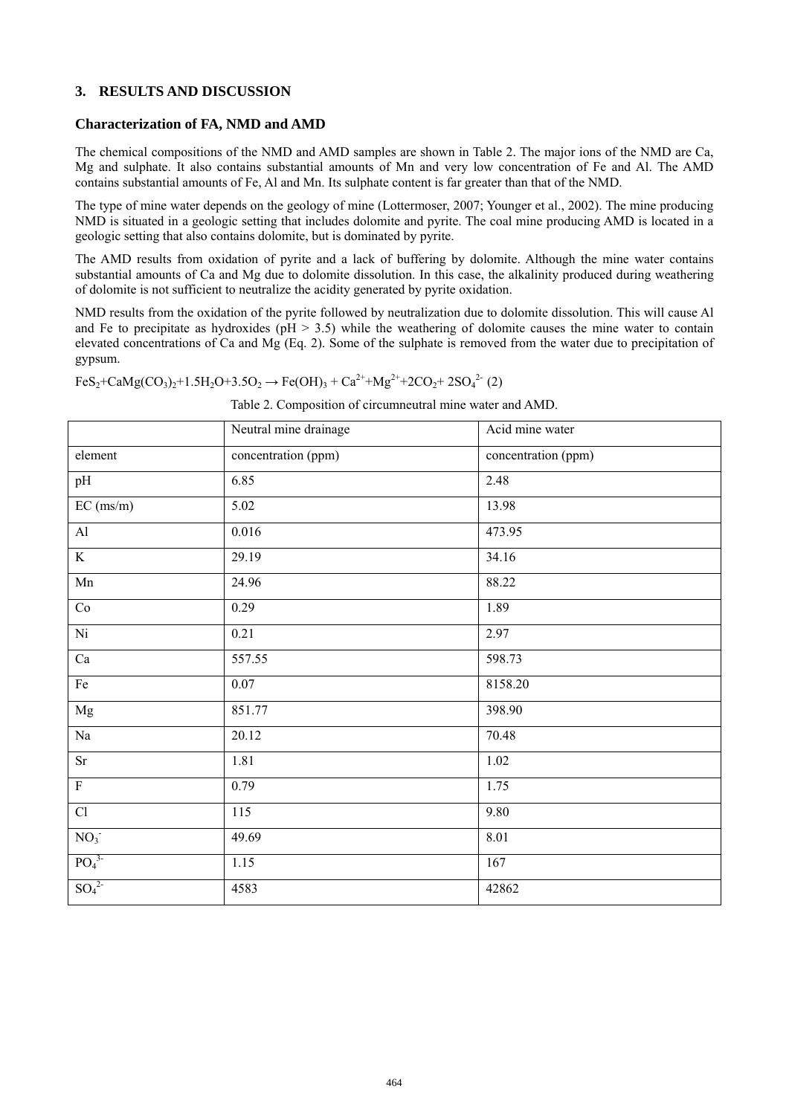#### **3. RESULTS AND DISCUSSION**

#### **Characterization of FA, NMD and AMD**

The chemical compositions of the NMD and AMD samples are shown in Table 2. The major ions of the NMD are Ca, Mg and sulphate. It also contains substantial amounts of Mn and very low concentration of Fe and Al. The AMD contains substantial amounts of Fe, Al and Mn. Its sulphate content is far greater than that of the NMD.

The type of mine water depends on the geology of mine (Lottermoser, 2007; Younger et al., 2002). The mine producing NMD is situated in a geologic setting that includes dolomite and pyrite. The coal mine producing AMD is located in a geologic setting that also contains dolomite, but is dominated by pyrite.

The AMD results from oxidation of pyrite and a lack of buffering by dolomite. Although the mine water contains substantial amounts of Ca and Mg due to dolomite dissolution. In this case, the alkalinity produced during weathering of dolomite is not sufficient to neutralize the acidity generated by pyrite oxidation.

NMD results from the oxidation of the pyrite followed by neutralization due to dolomite dissolution. This will cause Al and Fe to precipitate as hydroxides ( $pH > 3.5$ ) while the weathering of dolomite causes the mine water to contain elevated concentrations of Ca and Mg (Eq. 2). Some of the sulphate is removed from the water due to precipitation of gypsum.

 $FeS_2 + CaMg(CO_3)_2 + 1.5H_2O + 3.5O_2 \rightarrow Fe(OH)_3 + Ca^{2+} + Mg^{2+} + 2CO_2 + 2SO_4^{2-} (2)$ 

| Table 2. Composition of circumneutral mine water and AMD. |  |
|-----------------------------------------------------------|--|
|-----------------------------------------------------------|--|

|                              | Neutral mine drainage | Acid mine water     |
|------------------------------|-----------------------|---------------------|
| element                      | concentration (ppm)   | concentration (ppm) |
| pH                           | 6.85                  | 2.48                |
| EC (ms/m)                    | 5.02                  | 13.98               |
| $\mathbf{Al}$                | 0.016                 | 473.95              |
| K                            | 29.19                 | 34.16               |
| Mn                           | 24.96                 | 88.22               |
| Co                           | 0.29                  | 1.89                |
| $\overline{\text{Ni}}$       | 0.21                  | 2.97                |
| Ca                           | 557.55                | 598.73              |
| $\rm Fe$                     | $0.07\,$              | 8158.20             |
| $_{\rm Mg}$                  | 851.77                | 398.90              |
| $\rm Na$                     | 20.12                 | 70.48               |
| Sr                           | 1.81                  | 1.02                |
| $\overline{\mathrm{F}}$      | 0.79                  | 1.75                |
| Cl                           | 115                   | 9.80                |
| NO <sub>3</sub>              | 49.69                 | 8.01                |
| PO <sub>4</sub> <sup>3</sup> | 1.15                  | 167                 |
| SO <sub>4</sub> <sup>2</sup> | 4583                  | 42862               |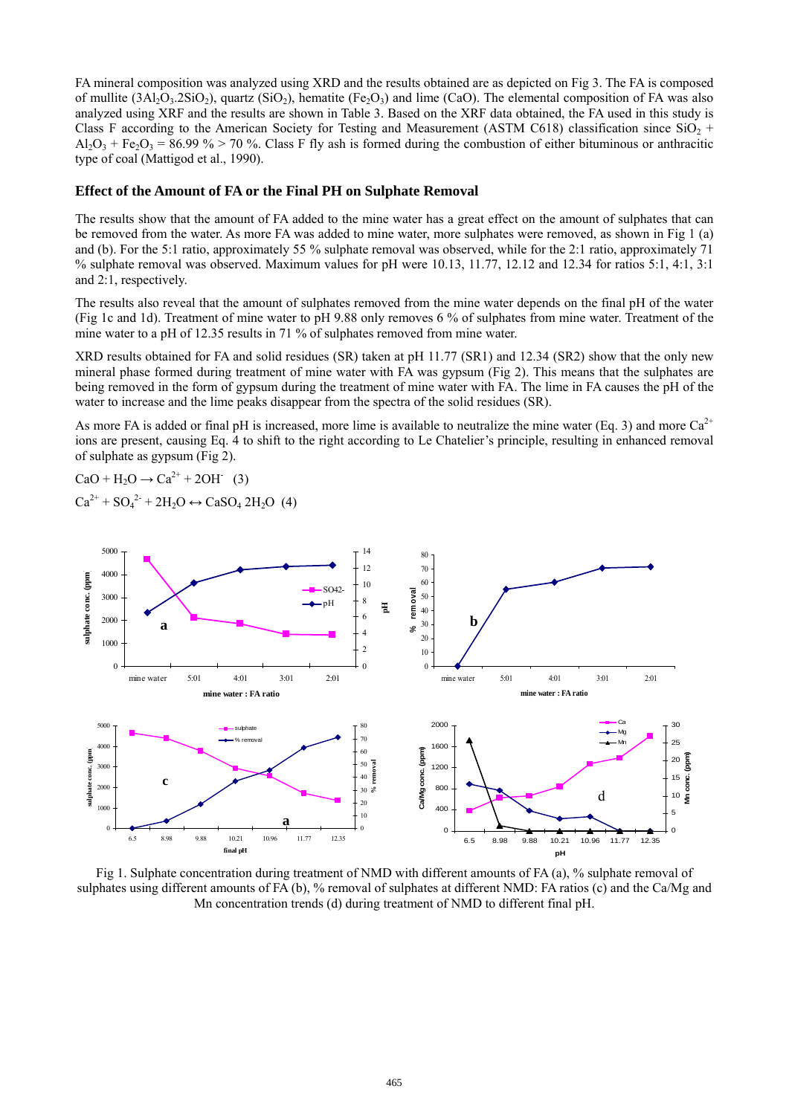FA mineral composition was analyzed using XRD and the results obtained are as depicted on Fig 3. The FA is composed of mullite  $(3Al_2O_3.2SiO_2)$ , quartz  $(SiO_2)$ , hematite  $(Fe_2O_3)$  and lime (CaO). The elemental composition of FA was also analyzed using XRF and the results are shown in Table 3. Based on the XRF data obtained, the FA used in this study is Class F according to the American Society for Testing and Measurement (ASTM C618) classification since  $SiO_2$  +  $A_2O_3$  + Fe<sub>2</sub>O<sub>3</sub> = 86.99 % > 70 %. Class F fly ash is formed during the combustion of either bituminous or anthracitic type of coal (Mattigod et al., 1990).

#### **Effect of the Amount of FA or the Final PH on Sulphate Removal**

The results show that the amount of FA added to the mine water has a great effect on the amount of sulphates that can be removed from the water. As more FA was added to mine water, more sulphates were removed, as shown in Fig 1 (a) and (b). For the 5:1 ratio, approximately 55 % sulphate removal was observed, while for the 2:1 ratio, approximately 71 % sulphate removal was observed. Maximum values for pH were 10.13, 11.77, 12.12 and 12.34 for ratios 5:1, 4:1, 3:1 and 2:1, respectively.

The results also reveal that the amount of sulphates removed from the mine water depends on the final pH of the water (Fig 1c and 1d). Treatment of mine water to pH 9.88 only removes 6 % of sulphates from mine water. Treatment of the mine water to a pH of 12.35 results in 71 % of sulphates removed from mine water.

XRD results obtained for FA and solid residues (SR) taken at pH 11.77 (SR1) and 12.34 (SR2) show that the only new mineral phase formed during treatment of mine water with FA was gypsum (Fig 2). This means that the sulphates are being removed in the form of gypsum during the treatment of mine water with FA. The lime in FA causes the pH of the water to increase and the lime peaks disappear from the spectra of the solid residues (SR).

As more FA is added or final pH is increased, more lime is available to neutralize the mine water (Eq. 3) and more  $Ca^{2+}$ ions are present, causing Eq. 4 to shift to the right according to Le Chatelier's principle, resulting in enhanced removal of sulphate as gypsum (Fig 2).

 $CaO + H_2O \rightarrow Ca^{2+} + 2OH^{-} (3)$  $Ca^{2+} + SO_4^{2-} + 2H_2O \leftrightarrow CaSO_4 \, 2H_2O$  (4)



Fig 1. Sulphate concentration during treatment of NMD with different amounts of FA (a), % sulphate removal of sulphates using different amounts of FA (b), % removal of sulphates at different NMD: FA ratios (c) and the Ca/Mg and Mn concentration trends (d) during treatment of NMD to different final pH.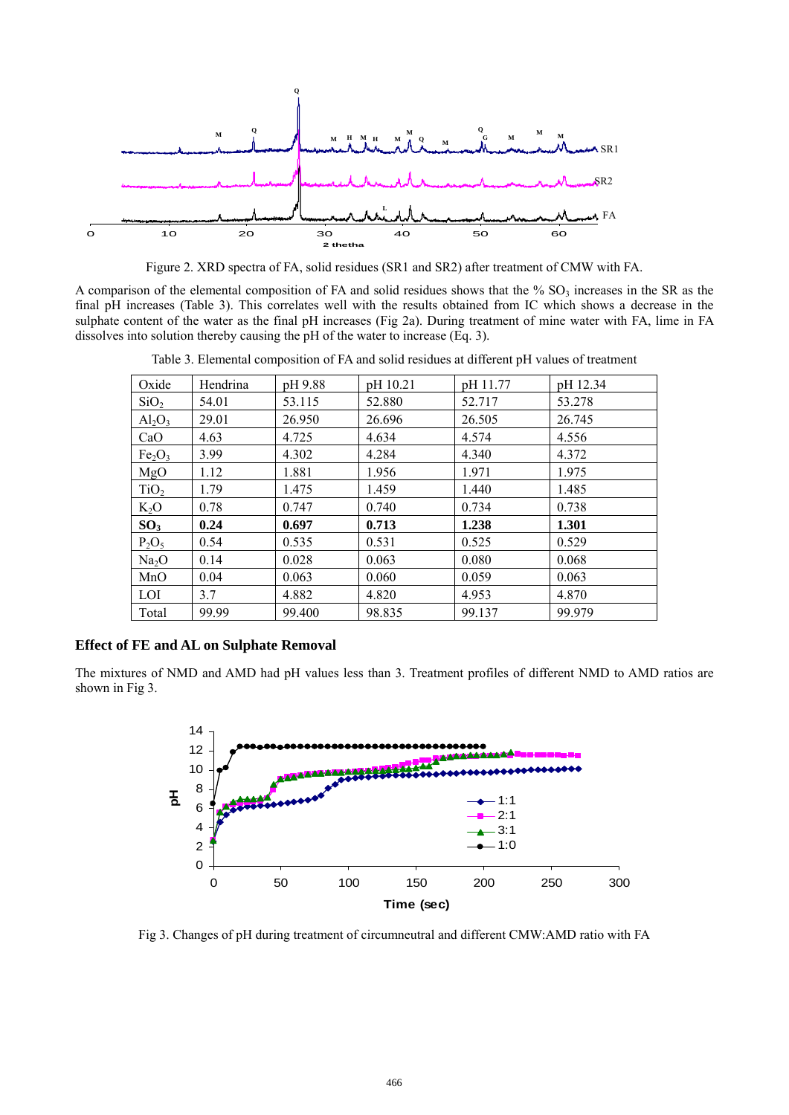

Figure 2. XRD spectra of FA, solid residues (SR1 and SR2) after treatment of CMW with FA.

A comparison of the elemental composition of FA and solid residues shows that the %  $SO<sub>3</sub>$  increases in the SR as the final pH increases (Table 3). This correlates well with the results obtained from IC which shows a decrease in the sulphate content of the water as the final pH increases (Fig 2a). During treatment of mine water with FA, lime in FA dissolves into solution thereby causing the pH of the water to increase (Eq. 3).

| Oxide                          | Hendrina | pH 9.88 | pH 10.21 | pH 11.77 | pH 12.34 |
|--------------------------------|----------|---------|----------|----------|----------|
| SiO <sub>2</sub>               | 54.01    | 53.115  | 52.880   | 52.717   | 53.278   |
| $Al_2O_3$                      | 29.01    | 26.950  | 26.696   | 26.505   | 26.745   |
| CaO                            | 4.63     | 4.725   | 4.634    | 4.574    | 4.556    |
| Fe <sub>2</sub> O <sub>3</sub> | 3.99     | 4.302   | 4.284    | 4.340    | 4.372    |
| MgO                            | 1.12     | 1.881   | 1.956    | 1.971    | 1.975    |
| TiO <sub>2</sub>               | 1.79     | 1.475   | 1.459    | 1.440    | 1.485    |
| $K_2O$                         | 0.78     | 0.747   | 0.740    | 0.734    | 0.738    |
| SO <sub>3</sub>                | 0.24     | 0.697   | 0.713    | 1.238    | 1.301    |
| $P_2O_5$                       | 0.54     | 0.535   | 0.531    | 0.525    | 0.529    |
| Na <sub>2</sub> O              | 0.14     | 0.028   | 0.063    | 0.080    | 0.068    |
| MnO                            | 0.04     | 0.063   | 0.060    | 0.059    | 0.063    |
| LOI                            | 3.7      | 4.882   | 4.820    | 4.953    | 4.870    |
| Total                          | 99.99    | 99.400  | 98.835   | 99.137   | 99.979   |

Table 3. Elemental composition of FA and solid residues at different pH values of treatment

### **Effect of FE and AL on Sulphate Removal**

The mixtures of NMD and AMD had pH values less than 3. Treatment profiles of different NMD to AMD ratios are shown in Fig 3.



Fig 3. Changes of pH during treatment of circumneutral and different CMW:AMD ratio with FA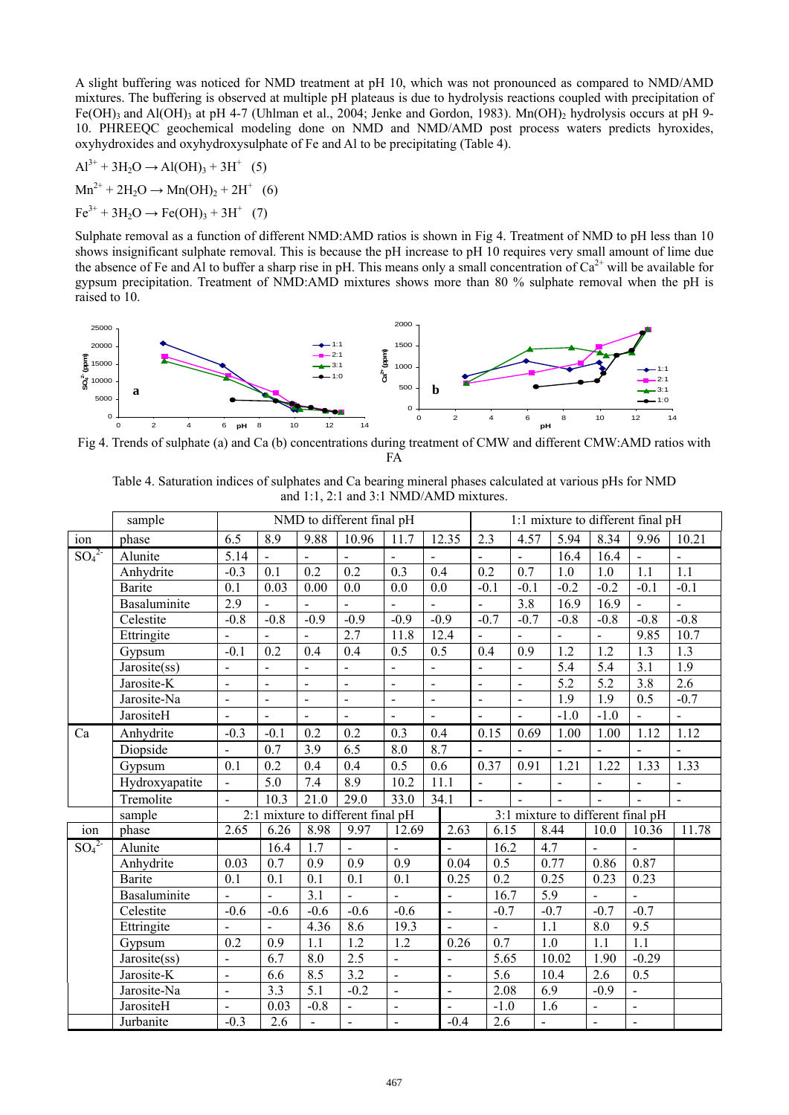A slight buffering was noticed for NMD treatment at pH 10, which was not pronounced as compared to NMD/AMD mixtures. The buffering is observed at multiple pH plateaus is due to hydrolysis reactions coupled with precipitation of Fe(OH)<sub>3</sub> and Al(OH)<sub>3</sub> at pH 4-7 (Uhlman et al., 2004; Jenke and Gordon, 1983). Mn(OH)<sub>2</sub> hydrolysis occurs at pH 9-10. PHREEQC geochemical modeling done on NMD and NMD/AMD post process waters predicts hyroxides, oxyhydroxides and oxyhydroxysulphate of Fe and Al to be precipitating (Table 4).

 $Al^{3+} + 3H_2O \rightarrow Al(OH)_3 + 3H^+$  (5)  $Mn^{2+} + 2H_2O \rightarrow Mn(OH)_2 + 2H^+$  (6)  $Fe^{3+} + 3H_2O \rightarrow Fe(OH)_3 + 3H^+$  (7)

Sulphate removal as a function of different NMD:AMD ratios is shown in Fig 4. Treatment of NMD to pH less than 10 shows insignificant sulphate removal. This is because the pH increase to pH 10 requires very small amount of lime due the absence of Fe and Al to buffer a sharp rise in pH. This means only a small concentration of  $Ca^{2+}$  will be available for gypsum precipitation. Treatment of NMD:AMD mixtures shows more than 80 % sulphate removal when the pH is raised to 10.



Fig 4. Trends of sulphate (a) and Ca (b) concentrations during treatment of CMW and different CMW:AMD ratios with FA

Table 4. Saturation indices of sulphates and Ca bearing mineral phases calculated at various pHs for NMD and 1:1, 2:1 and 3:1 NMD/AMD mixtures.

|                              | sample              |                          |                          |                              | NMD to different final pH     |                          |                              |                          | 1:1 mixture to different final pH |                          |                  |                  |                  |                          |                                   |                          |
|------------------------------|---------------------|--------------------------|--------------------------|------------------------------|-------------------------------|--------------------------|------------------------------|--------------------------|-----------------------------------|--------------------------|------------------|------------------|------------------|--------------------------|-----------------------------------|--------------------------|
| ion                          | phase               | 6.5                      | 8.9                      | 9.88                         | 10.96                         | $\overline{1}1.7$        |                              | 12.35                    | 2.3                               |                          | 4.57             |                  | 5.94             | 8.34                     | 9.96                              | 10.21                    |
| $SO_4^2$                     | Alunite             | 5.14                     | $\blacksquare$           | $\overline{\phantom{0}}$     | $\overline{\phantom{0}}$      | $\blacksquare$           | $\overline{\phantom{a}}$     |                          | $\overline{\phantom{0}}$          |                          | $\blacksquare$   |                  | 16.4             | 16.4                     | $\blacksquare$                    | $\blacksquare$           |
|                              | Anhydrite           | $-0.3$                   | 0.1                      | 0.2                          | 0.2                           | 0.3                      | 0.4                          |                          | 0.2                               |                          | 0.7              |                  | 1.0              | 1.0                      | 1.1                               | 1.1                      |
|                              | Barite              | 0.1                      | 0.03                     | $0.00\,$                     | 0.0                           | 0.0                      | 0.0                          |                          | $-0.1$                            |                          | $-0.1$           |                  | $-0.2$           | $-0.2$                   | $-0.1$                            | $-0.1$                   |
|                              | Basaluminite        | 2.9                      |                          |                              | $\overline{\phantom{0}}$      |                          | $\qquad \qquad \blacksquare$ |                          | $\overline{a}$                    |                          | $\overline{3.8}$ |                  | 16.9             | $\overline{16.9}$        | $\blacksquare$                    | -                        |
|                              | Celestite           | $-0.8$                   | $-0.8$                   | $-0.9$                       | $-0.9$                        | $-0.9$                   | $-0.9$                       |                          |                                   | $-0.7$                   | $-0.7$           |                  | $-0.8$           | $-0.8$                   | $-0.8$                            | $-0.8$                   |
|                              | Ettringite          |                          |                          |                              | 2.7                           | 11.8                     |                              | 12.4                     | $\overline{a}$                    |                          | $\blacksquare$   |                  |                  |                          | 9.85                              | 10.7                     |
|                              | Gypsum              | $-0.1$                   | 0.2                      | 0.4                          | 0.4                           | 0.5                      | 0.5                          |                          | 0.4                               |                          | 0.9              |                  | $\overline{1.2}$ | 1.2                      | 1.3                               | 1.3                      |
|                              | Jarosite(ss)        | $\blacksquare$           | $\blacksquare$           | $\qquad \qquad \blacksquare$ | $\blacksquare$                | $\blacksquare$           | $\blacksquare$               |                          | $\qquad \qquad -$                 |                          | $\blacksquare$   |                  | 5.4              | 5.4                      | 3.1                               | 1.9                      |
|                              | Jarosite-K          | $\blacksquare$           | $\blacksquare$           | $\blacksquare$               | $\blacksquare$                | $\frac{1}{2}$            | $\blacksquare$               |                          | $\overline{a}$                    |                          | $\blacksquare$   |                  | 5.2              | $\overline{5.2}$         | 3.8                               | 2.6                      |
|                              | Jarosite-Na         | $\blacksquare$           | $\overline{\phantom{a}}$ | $\blacksquare$               | $\blacksquare$                | $\blacksquare$           | $\blacksquare$               |                          | $\frac{1}{2}$                     |                          | $\blacksquare$   |                  | $\overline{1.9}$ | 1.9                      | 0.5                               | $-0.7$                   |
|                              | JarositeH           |                          | $\blacksquare$           | $\blacksquare$               | ÷,                            | $\blacksquare$           | $\blacksquare$               |                          | $\frac{1}{2}$                     |                          | $\Box$           |                  | $-1.0$           | $-1.0$                   | $\blacksquare$                    | $\overline{\phantom{0}}$ |
| Ca                           | Anhydrite           | $-0.3$                   | $-0.1$                   | 0.2                          | 0.2                           | 0.3                      | 0.4                          |                          |                                   | 0.15                     | 0.69             |                  | 1.00             | 1.00                     | 1.12                              | 1.12                     |
|                              | Diopside            | $\blacksquare$           | 0.7                      | 3.9                          | 6.5                           | 8.0                      | 8.7                          |                          | $\overline{a}$                    |                          | $\overline{a}$   |                  | $\overline{a}$   | $\blacksquare$           | $\ddot{\phantom{a}}$              | $\frac{1}{2}$            |
|                              | Gypsum              | 0.1                      | 0.2                      | 0.4                          | 0.4                           | 0.5                      | 0.6                          |                          |                                   | 0.37                     | 0.91             |                  | 1.21             | 1.22                     | 1.33                              | 1.33                     |
|                              | Hydroxyapatite      | $\blacksquare$           | 5.0                      | 7.4                          | 8.9                           | 10.2                     | 11.1                         |                          | $\blacksquare$                    |                          | $\blacksquare$   |                  |                  |                          | $\blacksquare$                    | $\qquad \qquad -$        |
|                              | Tremolite           | $\blacksquare$           | 10.3                     | 21.0                         | 29.0                          | 33.0                     | 34.1                         |                          |                                   |                          |                  |                  |                  |                          |                                   |                          |
|                              | sample              | 2:1                      |                          |                              | mixture to different final pH |                          |                              |                          |                                   |                          |                  |                  |                  |                          | 3:1 mixture to different final pH |                          |
| ion                          | phase               | $\overline{2.65}$        | 6.26                     | 8.98                         | 9.97                          | 12.69                    |                              | 2.63                     |                                   | 6.15                     |                  | 8.44             |                  | 10.0                     | 10.36                             | 11.78                    |
| SO <sub>4</sub> <sup>2</sup> | Alunite             |                          | 16.4                     | 1.7                          |                               | $\mathbf{r}$             |                              | $\overline{a}$           |                                   | 16.2                     |                  | 4.7              |                  | $\blacksquare$           | $\overline{a}$                    |                          |
|                              | Anhydrite           | 0.03                     | 0.7                      | 0.9                          | 0.9                           | 0.9                      |                              | 0.04                     |                                   | 0.5                      |                  | 0.77             |                  | 0.86                     | 0.87                              |                          |
|                              | <b>Barite</b>       | 0.1                      | 0.1                      | 0.1                          | 0.1                           | 0.1                      |                              | 0.25                     |                                   | 0.2                      |                  | 0.25             |                  | 0.23                     | 0.23                              |                          |
|                              | <b>Basaluminite</b> |                          | $\overline{a}$           | $\overline{3.1}$             |                               | $\blacksquare$           |                              | $\blacksquare$           |                                   | 16.7                     |                  | $\overline{5.9}$ |                  |                          | $\overline{a}$                    |                          |
|                              | Celestite           | $-0.6$                   | $-0.6$                   | $-0.6$                       | $-0.6$                        | $-0.6$                   |                              | $\Box$                   |                                   | $-0.7$                   |                  | $-0.7$           |                  | $-0.7$                   | $-0.7$                            |                          |
|                              | Ettringite          |                          | $\overline{\phantom{a}}$ | 4.36                         | 8.6                           | 19.3                     |                              | $\mathbf{r}$             |                                   | $\overline{\phantom{0}}$ |                  | 1.1              |                  | 8.0                      | 9.5                               |                          |
|                              | Gypsum              | $\overline{0.2}$         | 0.9                      | 1.1                          | $\overline{1.2}$              | $\overline{1.2}$         |                              | 0.26                     |                                   | $\overline{0.7}$         |                  | 1.0              |                  | 1.1                      | $\overline{1.1}$                  |                          |
|                              | Jarosite(ss)        | $\overline{\phantom{a}}$ | 6.7                      | 8.0                          | 2.5                           | $\blacksquare$           |                              | $\blacksquare$           |                                   | 5.65                     |                  |                  | 10.02            | 1.90                     | $-0.29$                           |                          |
|                              | Jarosite-K          | $\blacksquare$           | 6.6                      | 8.5                          | $\overline{3.2}$              | $\overline{\phantom{a}}$ |                              | $\overline{\phantom{a}}$ |                                   | 5.6                      |                  | 10.4             |                  | 2.6                      | 0.5                               |                          |
|                              | Jarosite-Na         | $\blacksquare$           | 3.3                      | 5.1                          | $-0.2$                        | $\blacksquare$           |                              | $\blacksquare$           |                                   | 2.08                     |                  | 6.9              |                  | $-0.9$                   | $\overline{a}$                    |                          |
|                              | JarositeH           |                          | 0.03                     | $-0.8$                       | $\blacksquare$                | $\blacksquare$           |                              | $\overline{a}$           |                                   | $-1.0$                   |                  | 1.6              |                  | $\overline{\phantom{a}}$ | $\frac{1}{2}$                     |                          |
|                              | Jurbanite           | $-0.3$                   | 2.6                      | $\Box$                       | $\bar{\phantom{a}}$           | $\blacksquare$           |                              | $-0.4$                   |                                   | 2.6                      |                  |                  |                  | $\blacksquare$           | $\blacksquare$                    |                          |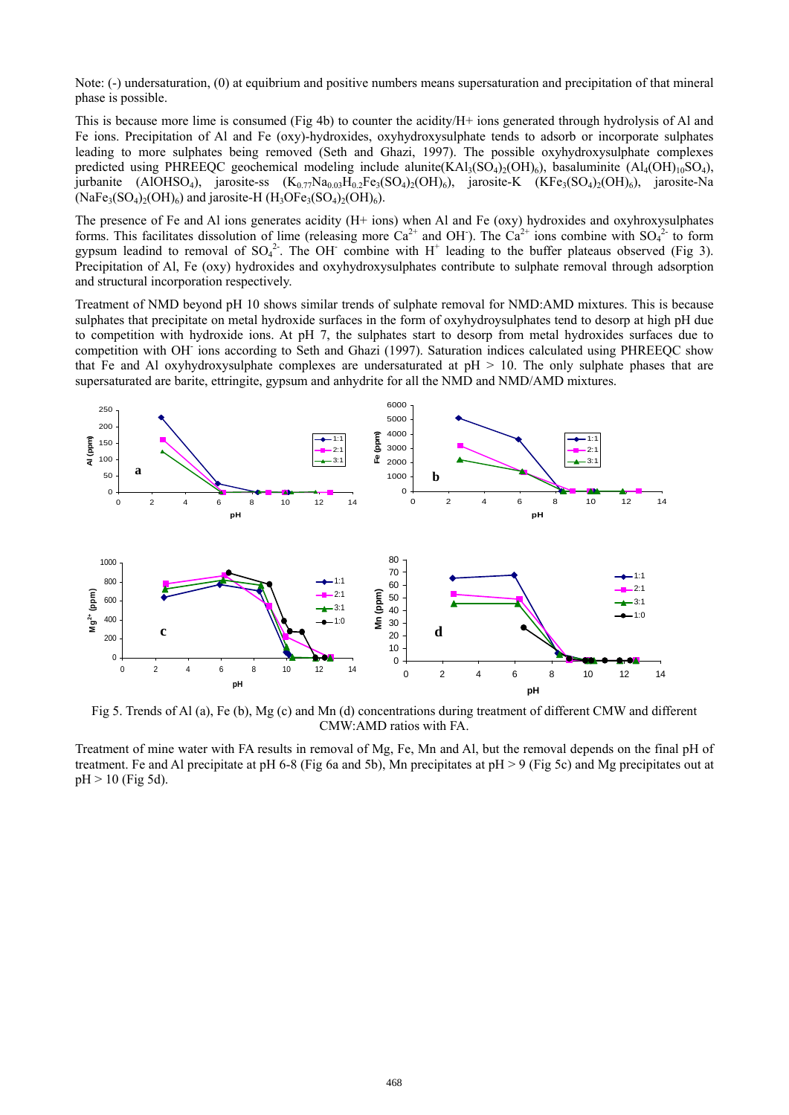Note: (-) undersaturation, (0) at equibrium and positive numbers means supersaturation and precipitation of that mineral phase is possible.

This is because more lime is consumed (Fig 4b) to counter the acidity/H+ ions generated through hydrolysis of Al and Fe ions. Precipitation of Al and Fe (oxy)-hydroxides, oxyhydroxysulphate tends to adsorb or incorporate sulphates leading to more sulphates being removed (Seth and Ghazi, 1997). The possible oxyhydroxysulphate complexes predicted using PHREEQC geochemical modeling include alunite(KAl<sub>3</sub>(SO<sub>4)2</sub>(OH)<sub>6</sub>), basaluminite (Al<sub>4</sub>(OH)<sub>10</sub>SO<sub>4</sub>), jurbanite (AlOHSO<sub>4</sub>), jarosite-ss  $(K_{0.77}Na_{0.03}H_0.2Fe_3(SO_4)_{2}(OH)_{6})$ , jarosite-K (KFe<sub>3</sub>(SO<sub>4</sub>)<sub>2</sub>(OH)<sub>6</sub>), jarosite-Na  $(NaFe<sub>3</sub>(SO<sub>4</sub>)<sub>2</sub>(OH)<sub>6</sub>)$  and jarosite-H  $(H<sub>3</sub>OFe<sub>3</sub>(SO<sub>4</sub>)<sub>2</sub>(OH)<sub>6</sub>).$ 

The presence of Fe and Al ions generates acidity (H+ ions) when Al and Fe (oxy) hydroxides and oxyhroxysulphates forms. This facilitates dissolution of lime (releasing more  $Ca^{2+}$  and OH). The  $Ca^{2+}$  ions combine with  $SO_4^{2-}$  to form gypsum leadind to removal of  $SO_4^2$ . The OH combine with H<sup>+</sup> leading to the buffer plateaus observed (Fig 3). Precipitation of Al, Fe (oxy) hydroxides and oxyhydroxysulphates contribute to sulphate removal through adsorption and structural incorporation respectively.

Treatment of NMD beyond pH 10 shows similar trends of sulphate removal for NMD:AMD mixtures. This is because sulphates that precipitate on metal hydroxide surfaces in the form of oxyhydroysulphates tend to desorp at high pH due to competition with hydroxide ions. At pH 7, the sulphates start to desorp from metal hydroxides surfaces due to competition with OH- ions according to Seth and Ghazi (1997). Saturation indices calculated using PHREEQC show that Fe and Al oxyhydroxysulphate complexes are undersaturated at pH > 10. The only sulphate phases that are supersaturated are barite, ettringite, gypsum and anhydrite for all the NMD and NMD/AMD mixtures.



Fig 5. Trends of Al (a), Fe (b), Mg (c) and Mn (d) concentrations during treatment of different CMW and different CMW:AMD ratios with FA.

Treatment of mine water with FA results in removal of Mg, Fe, Mn and Al, but the removal depends on the final pH of treatment. Fe and Al precipitate at pH 6-8 (Fig 6a and 5b), Mn precipitates at pH > 9 (Fig 5c) and Mg precipitates out at  $pH > 10$  (Fig 5d).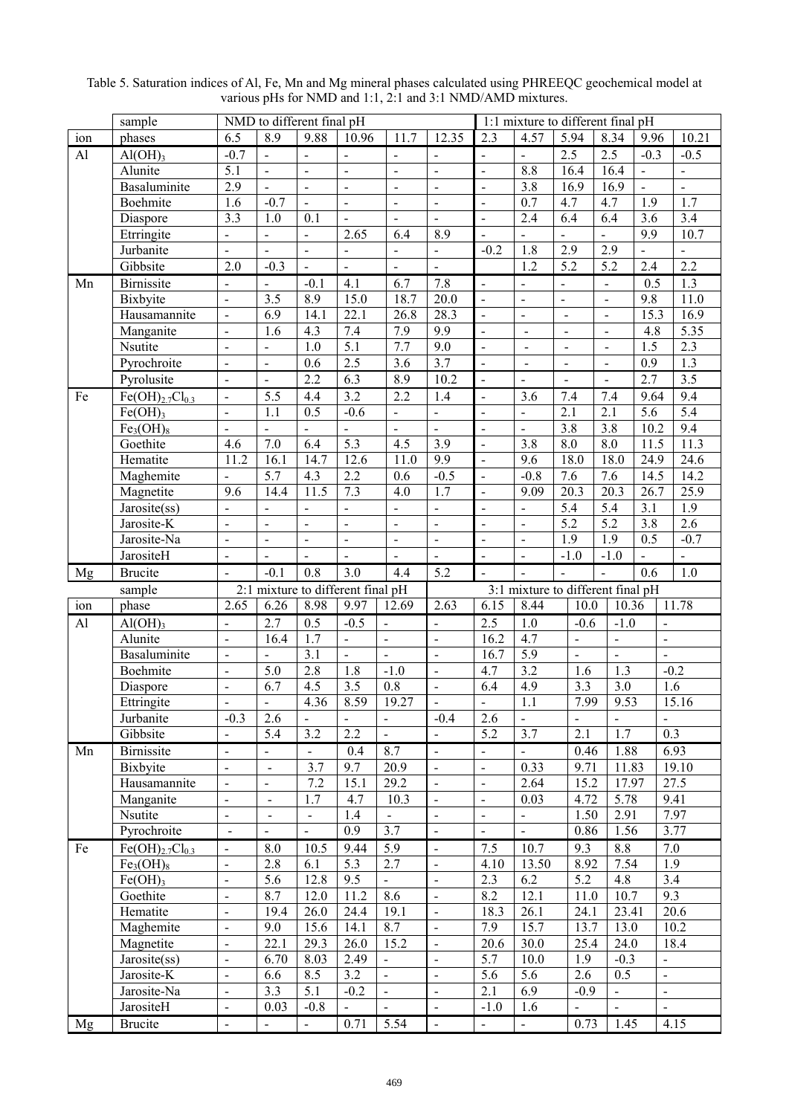|                 | sample                            | NMD to different final pH    |                              |                          |                                            |                                   |                          |                              | 1:1 mixture to different final pH  |                              |                                            |                  |                                  |  |  |
|-----------------|-----------------------------------|------------------------------|------------------------------|--------------------------|--------------------------------------------|-----------------------------------|--------------------------|------------------------------|------------------------------------|------------------------------|--------------------------------------------|------------------|----------------------------------|--|--|
| ion             | phases                            | 6.5                          | 8.9                          | 9.88                     | 10.96                                      | 11.7                              | 12.35                    | 2.3                          | 4.57                               | 5.94                         | 8.34                                       | 9.96             | 10.21                            |  |  |
| $\overline{Al}$ | $Al(OH)$ <sub>3</sub>             | $-0.7$                       | $\overline{a}$               |                          | $\frac{1}{2}$                              |                                   |                          | $\blacksquare$               |                                    | $\overline{2.5}$             | 2.5                                        | $-0.3$           | $-0.5$                           |  |  |
|                 | Alunite                           | $\overline{5.1}$             | $\overline{a}$               | $\overline{a}$           | $\overline{a}$                             | $\Box$                            | $\overline{a}$           | $\overline{a}$               | 8.8                                | 16.4                         | 16.4                                       | $\Box$           | $\frac{1}{2}$                    |  |  |
|                 | <b>Basaluminite</b>               | 2.9                          | $\overline{a}$               | $\overline{a}$           | $\overline{a}$                             | $\frac{1}{2}$                     | $\overline{a}$           | $\frac{1}{2}$                | 3.8                                | 16.9                         | 16.9                                       | $\Box$           | $\overline{a}$                   |  |  |
|                 | Boehmite                          | $\overline{1.6}$             | $-0.7$                       | $\overline{a}$           | $\overline{a}$                             | $\overline{a}$                    | $\frac{1}{2}$            | $\frac{1}{2}$                | 0.7                                | 4.7                          | 4.7                                        | 1.9              | $\overline{1.7}$                 |  |  |
|                 | Diaspore                          | $\overline{3.3}$             | 1.0                          | 0.1                      | $\overline{a}$                             | $\blacksquare$                    | $\overline{a}$           | $\frac{1}{2}$                | 2.4                                | 6.4                          | 6.4                                        | 3.6              | $\overline{3.4}$                 |  |  |
|                 | Etrringite                        | $\overline{a}$               | $\overline{a}$               | $\frac{1}{2}$            | 2.65                                       | 6.4                               | 8.9                      | $\overline{a}$               | $\overline{a}$                     | $\Box$                       | $\frac{1}{2}$                              | 9.9              | 10.7                             |  |  |
|                 | Jurbanite                         | $\overline{a}$               | $\overline{a}$               | $\overline{a}$           |                                            |                                   | $\Box$                   | $-0.2$                       | 1.8                                | 2.9                          | 2.9                                        |                  |                                  |  |  |
|                 | Gibbsite                          | 2.0                          | $-0.3$                       | $\overline{a}$           | $\blacksquare$                             | $\blacksquare$                    | $\overline{a}$           |                              | 1.2                                | 5.2                          | 5.2                                        | 2.4              | $\overline{2.2}$                 |  |  |
| Mn              | <b>Birnissite</b>                 | $\overline{\phantom{a}}$     | $\overline{a}$               | $-0.1$                   | 4.1                                        | 6.7                               | $\overline{7.8}$         | $\blacksquare$               | $\blacksquare$                     | $\overline{a}$               | $\blacksquare$                             | 0.5              | 1.3                              |  |  |
|                 | Bixbyite                          | $\blacksquare$               | 3.5                          | 8.9                      | 15.0                                       | 18.7                              | 20.0                     | $\overline{\phantom{a}}$     | $\blacksquare$                     | $\overline{\phantom{a}}$     | $\blacksquare$                             | 9.8              | 11.0                             |  |  |
|                 | Hausamannite                      | $\frac{1}{2}$                | 6.9                          | 14.1                     | $\overline{22.1}$                          | 26.8                              | 28.3                     | $\overline{a}$               | $\overline{\phantom{a}}$           | $\blacksquare$               | $\overline{\phantom{a}}$                   | 15.3             | 16.9                             |  |  |
|                 | Manganite                         | $\blacksquare$               | 1.6                          | 4.3                      | 7.4                                        | 7.9                               | $\overline{9.9}$         | $\overline{a}$               | $\blacksquare$                     | $\overline{\phantom{a}}$     | $\blacksquare$                             | 4.8              | $\overline{5.35}$                |  |  |
|                 | Nsutite                           | $\blacksquare$               | $\blacksquare$               | 1.0                      | $\overline{5.1}$                           | 7.7                               | $\overline{9.0}$         | $\frac{1}{2}$                | $\blacksquare$                     | $\overline{\phantom{a}}$     | $\overline{\phantom{a}}$                   | $\overline{1.5}$ | $\overline{2.3}$                 |  |  |
|                 | Pyrochroite                       | $\blacksquare$               | $\overline{\phantom{a}}$     | 0.6                      | $\overline{2.5}$                           | 3.6                               | $\overline{3.7}$         | $\blacksquare$               | $\blacksquare$                     | $\overline{\phantom{a}}$     | $\overline{\phantom{a}}$                   | 0.9              | 1.3                              |  |  |
|                 | Pyrolusite                        | $\overline{\phantom{a}}$     | $\overline{a}$               | $\overline{2.2}$         | 6.3                                        | 8.9                               | 10.2                     | $\overline{a}$               | $\overline{a}$                     | $\overline{a}$               |                                            | 2.7              | $\overline{3.5}$                 |  |  |
| Fe              | $Fe(OH)_{2.7}Cl_{0.3}$            | $\blacksquare$               | 5.5                          | 4.4                      | 3.2                                        | 2.2                               | 1.4                      | $\qquad \qquad \blacksquare$ | 3.6                                | 7.4                          | 7.4                                        | 9.64             | 9.4                              |  |  |
|                 | $Fe(OH)$ <sub>3</sub>             | $\blacksquare$               | 1.1                          | 0.5                      | $-0.6$                                     | $\qquad \qquad \blacksquare$      | $\blacksquare$           | $\qquad \qquad \blacksquare$ | $\Box$                             | $\overline{2.1}$             | 2.1                                        | $\overline{5.6}$ | $\overline{5.4}$                 |  |  |
|                 | Fe <sub>3</sub> (OH) <sub>8</sub> | $\blacksquare$               |                              |                          | $\qquad \qquad \blacksquare$               |                                   |                          | $\overline{\phantom{0}}$     |                                    | 3.8                          | 3.8                                        | 10.2             | 9.4                              |  |  |
|                 | Goethite                          | 4.6                          | 7.0                          | 6.4                      | $\overline{5.3}$                           | 4.5                               | $\overline{3.9}$         | $\qquad \qquad \blacksquare$ | $\overline{3.8}$                   | $\overline{8.0}$             | $\overline{8.0}$                           | 11.5             | 11.3                             |  |  |
|                 | Hematite                          | 11.2                         | 16.1                         | 14.7                     | 12.6                                       | 11.0                              | 9.9                      | $\qquad \qquad \blacksquare$ | 9.6                                | 18.0                         | 18.0                                       | 24.9             | 24.6                             |  |  |
|                 | Maghemite                         | $\qquad \qquad -$            | 5.7                          | 4.3                      | 2.2                                        | 0.6                               | $-0.5$                   | $\qquad \qquad \blacksquare$ | $-0.8$                             | 7.6                          | 7.6                                        | 14.5             | 14.2                             |  |  |
|                 | Magnetite                         | 9.6                          | 14.4                         | 11.5                     | 7.3                                        | 4.0                               | $1.\overline{7}$         | $\overline{\phantom{a}}$     | 9.09                               | 20.3                         | 20.3                                       | 26.7             | 25.9                             |  |  |
|                 | Jarosite(ss)                      | $\qquad \qquad \blacksquare$ | $\qquad \qquad \blacksquare$ |                          | $\blacksquare$                             | $\overline{\phantom{a}}$          | $\blacksquare$           | $\qquad \qquad \blacksquare$ | $\blacksquare$                     | 5.4                          | 5.4                                        | 3.1              | 1.9                              |  |  |
|                 | Jarosite-K                        | $\blacksquare$               | $\qquad \qquad \blacksquare$ | $\blacksquare$           | $\blacksquare$                             | $\overline{\phantom{a}}$          | $\blacksquare$           | $\blacksquare$               | $\blacksquare$                     | 5.2                          | 5.2                                        | $\overline{3.8}$ | 2.6                              |  |  |
|                 | Jarosite-Na                       | $\blacksquare$               | $\qquad \qquad \blacksquare$ | $\blacksquare$           | $\blacksquare$                             | $\overline{\phantom{a}}$          | $\Box$                   | $\qquad \qquad \blacksquare$ | $\blacksquare$                     | 1.9                          | 1.9                                        | 0.5              | $-0.7$                           |  |  |
|                 | JarositeH                         | $\blacksquare$               | $\frac{1}{2}$                | $\blacksquare$           | $\blacksquare$                             | $\blacksquare$                    | $\overline{a}$           | $\overline{\phantom{a}}$     | $\blacksquare$                     | $-1.0$                       | $-1.0$                                     | $\blacksquare$   | $\blacksquare$                   |  |  |
|                 |                                   |                              |                              |                          |                                            |                                   |                          |                              |                                    |                              |                                            |                  |                                  |  |  |
|                 |                                   |                              |                              |                          |                                            |                                   |                          |                              |                                    |                              |                                            |                  |                                  |  |  |
| Mg              | <b>Brucite</b>                    | $\overline{\phantom{a}}$     | $-0.1$                       | 0.8                      | 3.0                                        | 4.4                               | 5.2                      | $\blacksquare$               |                                    | $\qquad \qquad \blacksquare$ | $\qquad \qquad \blacksquare$               | 0.6              | 1.0                              |  |  |
|                 | sample                            |                              |                              |                          | 2:1 mixture to different final pH          |                                   |                          |                              | 3:1 mixture to different final pH  |                              |                                            |                  |                                  |  |  |
| ion             | phase                             | 2.65<br>$\overline{a}$       | 6.26                         | 8.98                     | 9.97                                       | 12.69                             | 2.63<br>$\overline{a}$   | 6.15                         | 8.44                               | 10.0                         |                                            | 10.36            | 11.78                            |  |  |
| AI              | Al(OH) <sub>3</sub>               | $\overline{a}$               | 2.7                          | 0.5                      | $-0.5$                                     | $\frac{1}{2}$                     | $\ddot{\phantom{1}}$     | 2.5                          | 1.0                                | $-0.6$<br>$\overline{a}$     | $-1.0$                                     |                  | $\overline{a}$                   |  |  |
|                 | Alunite                           | $\overline{a}$               | 16.4<br>$\overline{a}$       | $\overline{1.7}$         | $\overline{\phantom{a}}$<br>$\overline{a}$ | $\blacksquare$<br>$\overline{a}$  | $\ddot{\phantom{a}}$     | 16.2                         | 4.7                                | $\overline{a}$               | $\overline{\phantom{a}}$<br>$\overline{a}$ |                  | $\overline{a}$<br>$\overline{a}$ |  |  |
|                 | Basaluminite                      | $\overline{a}$               |                              | $\overline{3.1}$         |                                            |                                   | $\overline{a}$           | 16.7                         | $\overline{5.9}$                   |                              |                                            |                  |                                  |  |  |
|                 | Boehmite                          | $\overline{a}$               | $\overline{5.0}$             | 2.8                      | 1.8                                        | $-1.0$                            | $\overline{\phantom{a}}$ | 4.7                          | $\overline{3.2}$                   | 1.6                          | $\overline{1.3}$                           |                  | $-0.2$                           |  |  |
|                 | Diaspore                          |                              | 6.7                          | $\overline{4.5}$         | $\overline{3.5}$                           | $\overline{0.8}$                  |                          | 6.4                          | 4.9                                | $\overline{3.3}$             | 3.0                                        |                  | $\overline{1.6}$                 |  |  |
|                 | Ettringite                        | $-0.3$                       |                              | 4.36                     | 8.59<br>$\blacksquare$                     | 19.27<br>$\overline{\phantom{a}}$ | $-0.4$                   |                              | $\overline{1.1}$<br>$\overline{a}$ | 7.99                         | 9.53                                       |                  | 15.16                            |  |  |
|                 | Jurbanite<br>Gibbsite             | $\overline{a}$               | 2.6<br>5.4                   | 3.2                      | 2.2                                        | $\omega$                          | $\sim$                   | 2.6<br>5.2                   | 3.7                                | 2.1                          | 1.7                                        |                  | $\overline{0.3}$                 |  |  |
| Mn              | <b>Birnissite</b>                 | $\blacksquare$               | $\blacksquare$               |                          | 0.4                                        | 8.7                               | $\overline{\phantom{a}}$ | $\blacksquare$               | $\overline{a}$                     | 0.46                         | 1.88                                       |                  | 6.93                             |  |  |
|                 |                                   | $\blacksquare$               | $\blacksquare$               |                          | 9.7                                        | 20.9                              | $\sim$                   | $\blacksquare$               | 0.33                               |                              |                                            |                  | 19.10                            |  |  |
|                 | Bixbyite<br>Hausamannite          | $\overline{\phantom{a}}$     | $\blacksquare$               | 3.7<br>7.2               | 15.1                                       | 29.2                              | $\sim$                   | $\overline{\phantom{a}}$     | 2.64                               | 9.71<br>15.2                 |                                            | 11.83<br>17.97   | 27.5                             |  |  |
|                 |                                   | $\blacksquare$               | $\blacksquare$               | 1.7                      | 4.7                                        | 10.3                              | $\sim$                   | $\overline{\phantom{m}}$     | 0.03                               | 4.72                         |                                            |                  | 9.41                             |  |  |
|                 | Manganite<br>Nsutite              | $\frac{1}{2}$                | $\overline{\phantom{a}}$     | $\overline{\phantom{a}}$ | 1.4                                        |                                   | $\blacksquare$           | $\blacksquare$               | $\blacksquare$                     | 1.50                         | 5.78<br>2.91                               |                  | 7.97                             |  |  |
|                 |                                   | $\blacksquare$               |                              | $\overline{a}$           | 0.9                                        | 3.7                               | $\sim$                   |                              | $\blacksquare$                     | 0.86                         | 1.56                                       |                  | 3.77                             |  |  |
|                 | Pyrochroite                       | $\overline{a}$               |                              |                          |                                            |                                   | $\sim$                   |                              |                                    |                              |                                            |                  |                                  |  |  |
| Fe              | $\overline{Fe(OH)_{2.7}Cl_{0.3}}$ | $\blacksquare$               | 8.0                          | 10.5                     | 9.44                                       | 5.9<br>2.7                        | $\sim$                   | 7.5                          | 10.7                               | 9.3                          | 8.8                                        |                  | 7.0                              |  |  |
|                 | Fe <sub>3</sub> (OH) <sub>8</sub> | $\frac{1}{2}$                | 2.8                          | 6.1                      | 5.3                                        | $\blacksquare$                    | $\sim$                   | 4.10                         | 13.50                              | 8.92                         | 7.54                                       |                  | 1.9                              |  |  |
|                 | Fe(OH) <sub>3</sub>               | $\blacksquare$               | 5.6                          | 12.8                     | 9.5<br>11.2                                |                                   | $\sim$                   | 2.3                          | 6.2<br>12.1                        | 5.2                          | 4.8                                        |                  | 3.4<br>$\overline{9.3}$          |  |  |
|                 | Goethite                          | $\blacksquare$               | 8.7<br>19.4                  | 12.0                     |                                            | 8.6                               | $\sim$                   | 8.2                          |                                    | 11.0                         | 10.7                                       |                  |                                  |  |  |
|                 | Hematite                          | $\blacksquare$               |                              | 26.0                     | 24.4                                       | 19.1                              | $\sim$                   | 18.3                         | 26.1                               | 24.1                         |                                            | 23.41            | 20.6                             |  |  |
|                 | Maghemite                         | $\blacksquare$               | 9.0                          | 15.6                     | 14.1                                       | 8.7                               | $\sim$                   | 7.9                          | 15.7                               | 13.7                         | 13.0                                       |                  | 10.2                             |  |  |
|                 | Magnetite                         | $\blacksquare$               | 22.1                         | 29.3                     | 26.0                                       | 15.2<br>$\overline{\phantom{a}}$  | $\sim$                   | 20.6                         | 30.0                               | 25.4                         | 24.0                                       |                  | 18.4<br>$\blacksquare$           |  |  |
|                 | Jarosite(ss)                      | $\blacksquare$               | 6.70                         | 8.03                     | 2.49                                       | $\blacksquare$                    | $\sim$                   | 5.7                          | 10.0                               | 1.9                          | $-0.3$                                     |                  | $\blacksquare$                   |  |  |
|                 | Jarosite-K                        | $\blacksquare$               | 6.6                          | 8.5                      | 3.2                                        | $\blacksquare$                    | $\sim$                   | 5.6                          | 5.6                                | 2.6<br>$-0.9$                | 0.5<br>$\frac{1}{2}$                       |                  | $\blacksquare$                   |  |  |
|                 | Jarosite-Na<br>JarositeH          | $\qquad \qquad \blacksquare$ | 3.3<br>0.03                  | 5.1<br>$-0.8$            | $-0.2$<br>$\qquad \qquad \blacksquare$     | $\blacksquare$                    | $\blacksquare$           | 2.1<br>$-1.0$                | 6.9<br>1.6                         | $\overline{\phantom{0}}$     | $\frac{1}{2}$                              |                  | $\blacksquare$                   |  |  |

Table 5. Saturation indices of Al, Fe, Mn and Mg mineral phases calculated using PHREEQC geochemical model at various pHs for NMD and 1:1, 2:1 and 3:1 NMD/AMD mixtures.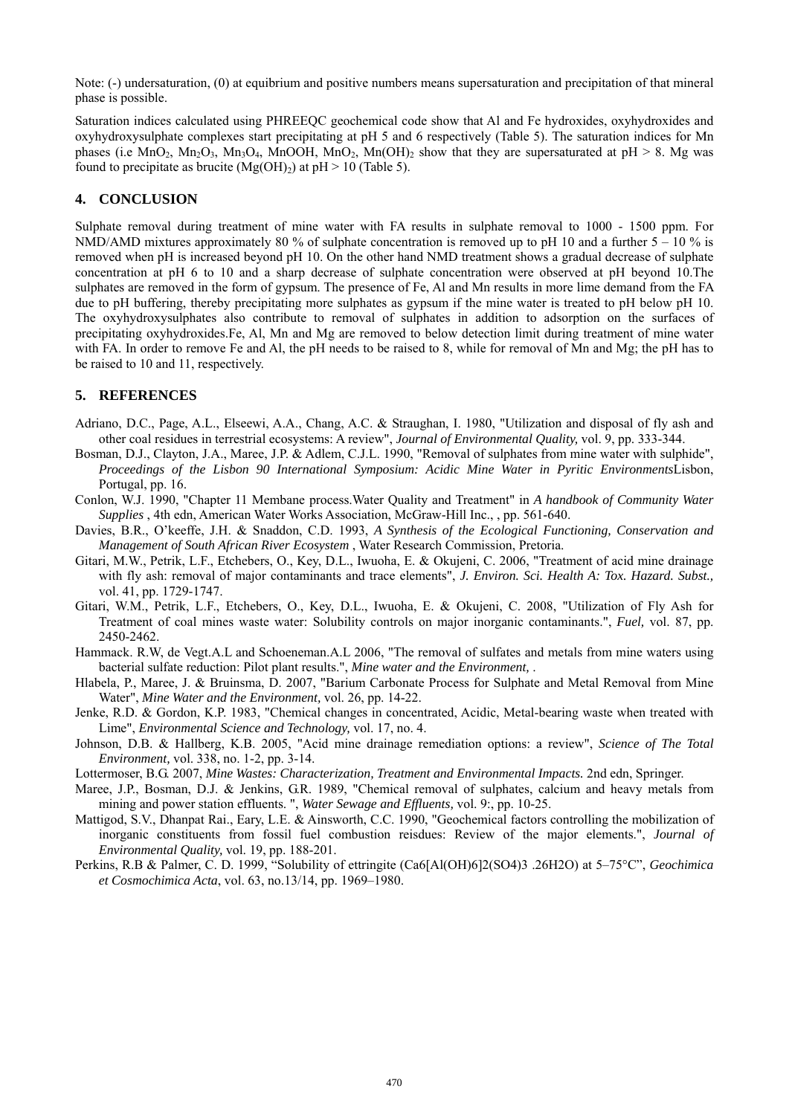Note: (-) undersaturation, (0) at equibrium and positive numbers means supersaturation and precipitation of that mineral phase is possible.

Saturation indices calculated using PHREEQC geochemical code show that Al and Fe hydroxides, oxyhydroxides and oxyhydroxysulphate complexes start precipitating at pH 5 and 6 respectively (Table 5). The saturation indices for Mn phases (i.e MnO<sub>2</sub>, Mn<sub>2</sub>O<sub>3</sub>, Mn<sub>3</sub>O<sub>4</sub>, MnOOH, MnO<sub>2</sub>, Mn(OH)<sub>2</sub> show that they are supersaturated at pH > 8. Mg was found to precipitate as brucite  $(Mg(OH)_2)$  at pH > 10 (Table 5).

### **4. CONCLUSION**

Sulphate removal during treatment of mine water with FA results in sulphate removal to 1000 - 1500 ppm. For NMD/AMD mixtures approximately 80 % of sulphate concentration is removed up to pH 10 and a further  $5 - 10$  % is removed when pH is increased beyond pH 10. On the other hand NMD treatment shows a gradual decrease of sulphate concentration at pH 6 to 10 and a sharp decrease of sulphate concentration were observed at pH beyond 10.The sulphates are removed in the form of gypsum. The presence of Fe, Al and Mn results in more lime demand from the FA due to pH buffering, thereby precipitating more sulphates as gypsum if the mine water is treated to pH below pH 10. The oxyhydroxysulphates also contribute to removal of sulphates in addition to adsorption on the surfaces of precipitating oxyhydroxides.Fe, Al, Mn and Mg are removed to below detection limit during treatment of mine water with FA. In order to remove Fe and Al, the pH needs to be raised to 8, while for removal of Mn and Mg; the pH has to be raised to 10 and 11, respectively.

#### **5. REFERENCES**

- Adriano, D.C., Page, A.L., Elseewi, A.A., Chang, A.C. & Straughan, I. 1980, "Utilization and disposal of fly ash and other coal residues in terrestrial ecosystems: A review", *Journal of Environmental Quality,* vol. 9, pp. 333-344.
- Bosman, D.J., Clayton, J.A., Maree, J.P. & Adlem, C.J.L. 1990, "Removal of sulphates from mine water with sulphide", *Proceedings of the Lisbon 90 International Symposium: Acidic Mine Water in Pyritic Environments*Lisbon, Portugal, pp. 16.
- Conlon, W.J. 1990, "Chapter 11 Membane process.Water Quality and Treatment" in *A handbook of Community Water Supplies* , 4th edn, American Water Works Association, McGraw-Hill Inc., , pp. 561-640.
- Davies, B.R., O'keeffe, J.H. & Snaddon, C.D. 1993, *A Synthesis of the Ecological Functioning, Conservation and Management of South African River Ecosystem* , Water Research Commission, Pretoria.
- Gitari, M.W., Petrik, L.F., Etchebers, O., Key, D.L., Iwuoha, E. & Okujeni, C. 2006, "Treatment of acid mine drainage with fly ash: removal of major contaminants and trace elements", *J. Environ. Sci. Health A: Tox. Hazard. Subst.*, vol. 41, pp. 1729-1747.
- Gitari, W.M., Petrik, L.F., Etchebers, O., Key, D.L., Iwuoha, E. & Okujeni, C. 2008, "Utilization of Fly Ash for Treatment of coal mines waste water: Solubility controls on major inorganic contaminants.", *Fuel,* vol. 87, pp. 2450-2462.
- Hammack. R.W, de Vegt.A.L and Schoeneman.A.L 2006, "The removal of sulfates and metals from mine waters using bacterial sulfate reduction: Pilot plant results.", *Mine water and the Environment,* .
- Hlabela, P., Maree, J. & Bruinsma, D. 2007, "Barium Carbonate Process for Sulphate and Metal Removal from Mine Water", *Mine Water and the Environment,* vol. 26, pp. 14-22.
- Jenke, R.D. & Gordon, K.P. 1983, "Chemical changes in concentrated, Acidic, Metal-bearing waste when treated with Lime", *Environmental Science and Technology,* vol. 17, no. 4.
- Johnson, D.B. & Hallberg, K.B. 2005, "Acid mine drainage remediation options: a review", *Science of The Total Environment,* vol. 338, no. 1-2, pp. 3-14.
- Lottermoser, B.G. 2007, *Mine Wastes: Characterization, Treatment and Environmental Impacts.* 2nd edn, Springer.
- Maree, J.P., Bosman, D.J. & Jenkins, G.R. 1989, "Chemical removal of sulphates, calcium and heavy metals from mining and power station effluents. ", *Water Sewage and Effluents,* vol. 9:, pp. 10-25.
- Mattigod, S.V., Dhanpat Rai., Eary, L.E. & Ainsworth, C.C. 1990, "Geochemical factors controlling the mobilization of inorganic constituents from fossil fuel combustion reisdues: Review of the major elements.", *Journal of Environmental Quality,* vol. 19, pp. 188-201.
- Perkins, R.B & Palmer, C. D. 1999, "Solubility of ettringite (Ca6[Al(OH)6]2(SO4)3 .26H2O) at 5–75°C", *Geochimica et Cosmochimica Acta*, vol. 63, no.13/14, pp. 1969–1980.